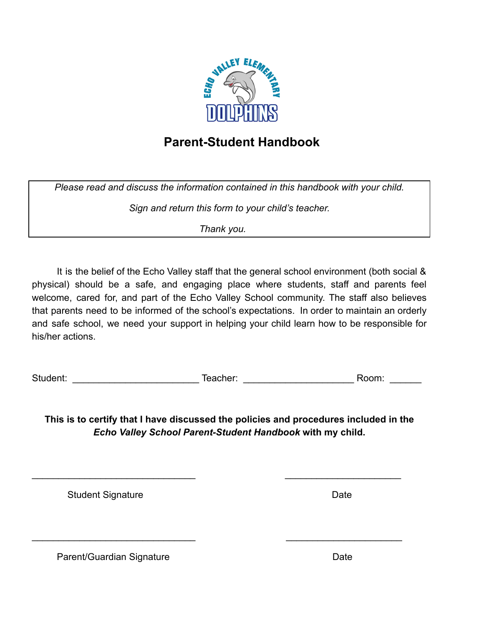

## **Parent-Student Handbook**

*Please read and discuss the information contained in this handbook with your child.*

*Sign and return this form to your child's teacher.*

*Thank you.*

It is the belief of the Echo Valley staff that the general school environment (both social & physical) should be a safe, and engaging place where students, staff and parents feel welcome, cared for, and part of the Echo Valley School community. The staff also believes that parents need to be informed of the school's expectations. In order to maintain an orderly and safe school, we need your support in helping your child learn how to be responsible for his/her actions.

Student: Teacher: Teacher: Teacher: 2000. Teacher: 2000. Teacher: 2000. Teacher: 2000. Teacher: 2000. Teacher: 2000. Teacher: 2000. Teacher: 2000. Teacher: 2000. Teacher: 2000. Teacher: 2000. Teacher: 2000. Teacher: 2000.

**This is to certify that I have discussed the policies and procedures included in the** *Echo Valley School Parent-Student Handbook* **with my child.**

\_\_\_\_\_\_\_\_\_\_\_\_\_\_\_\_\_\_\_\_\_\_\_\_\_\_\_\_\_\_\_ \_\_\_\_\_\_\_\_\_\_\_\_\_\_\_\_\_\_\_\_\_\_

\_\_\_\_\_\_\_\_\_\_\_\_\_\_\_\_\_\_\_\_\_\_\_\_\_\_\_\_\_\_\_ \_\_\_\_\_\_\_\_\_\_\_\_\_\_\_\_\_\_\_\_\_\_

Student Signature Date Date

Parent/Guardian Signature **Date** Date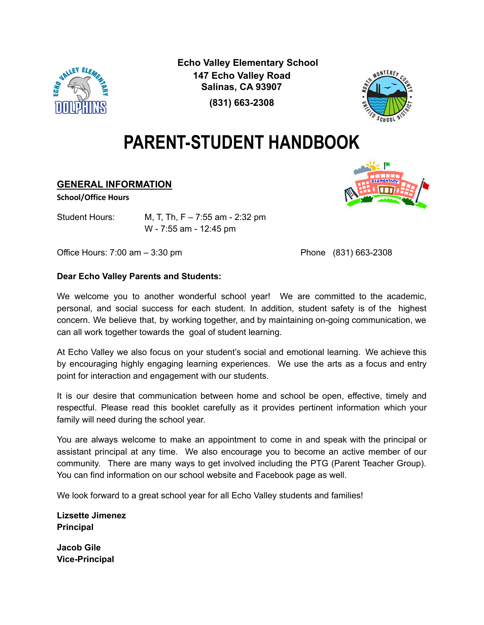

**Echo Valley Elementary School 147 Echo Valley Road Salinas, CA 93907**



## **(831) 663-2308**

# **PARENT-STUDENT HANDBOOK**

## **GENERAL INFORMATION**

#### **School/Office Hours**

Student Hours: M, T, Th, F – 7:55 am - 2:32 pm W - 7:55 am - 12:45 pm

Office Hours: 7:00 am – 3:30 pm example and the Phone (831) 663-2308

## **Dear Echo Valley Parents and Students:**

We welcome you to another wonderful school year! We are committed to the academic, personal, and social success for each student. In addition, student safety is of the highest concern. We believe that, by working together, and by maintaining on-going communication, we can all work together towards the goal of student learning.

At Echo Valley we also focus on your student's social and emotional learning. We achieve this by encouraging highly engaging learning experiences. We use the arts as a focus and entry point for interaction and engagement with our students.

It is our desire that communication between home and school be open, effective, timely and respectful. Please read this booklet carefully as it provides pertinent information which your family will need during the school year.

You are always welcome to make an appointment to come in and speak with the principal or assistant principal at any time. We also encourage you to become an active member of our community. There are many ways to get involved including the PTG (Parent Teacher Group). You can find information on our school website and Facebook page as well.

We look forward to a great school year for all Echo Valley students and families!

**Lizsette Jimenez Principal**

**Jacob Gile Vice-Principal**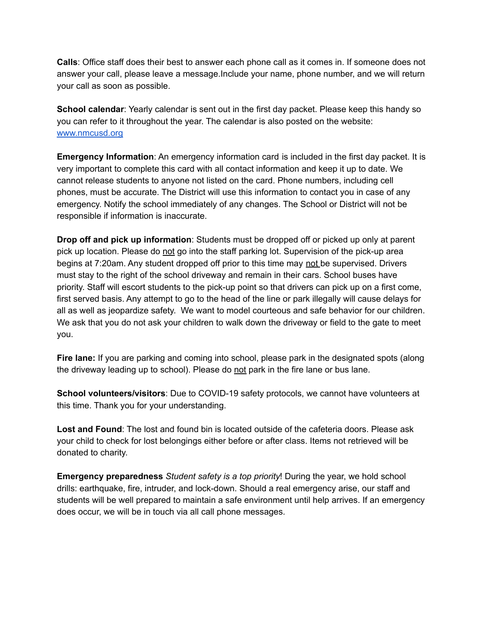**Calls**: Office staff does their best to answer each phone call as it comes in. If someone does not answer your call, please leave a message.Include your name, phone number, and we will return your call as soon as possible.

**School calendar**: Yearly calendar is sent out in the first day packet. Please keep this handy so you can refer to it throughout the year. The calendar is also posted on the website: [www.nmcusd.org](http://www.nmcusd.org)

**Emergency Information**: An emergency information card is included in the first day packet. It is very important to complete this card with all contact information and keep it up to date. We cannot release students to anyone not listed on the card. Phone numbers, including cell phones, must be accurate. The District will use this information to contact you in case of any emergency. Notify the school immediately of any changes. The School or District will not be responsible if information is inaccurate.

**Drop off and pick up information**: Students must be dropped off or picked up only at parent pick up location. Please do not go into the staff parking lot. Supervision of the pick-up area begins at 7:20am. Any student dropped off prior to this time may not be supervised. Drivers must stay to the right of the school driveway and remain in their cars. School buses have priority. Staff will escort students to the pick-up point so that drivers can pick up on a first come, first served basis. Any attempt to go to the head of the line or park illegally will cause delays for all as well as jeopardize safety. We want to model courteous and safe behavior for our children. We ask that you do not ask your children to walk down the driveway or field to the gate to meet you.

**Fire lane:** If you are parking and coming into school, please park in the designated spots (along the driveway leading up to school). Please do not park in the fire lane or bus lane.

**School volunteers/visitors**: Due to COVID-19 safety protocols, we cannot have volunteers at this time. Thank you for your understanding.

**Lost and Found**: The lost and found bin is located outside of the cafeteria doors. Please ask your child to check for lost belongings either before or after class. Items not retrieved will be donated to charity.

**Emergency preparedness** *Student safety is a top priority*! During the year, we hold school drills: earthquake, fire, intruder, and lock-down. Should a real emergency arise, our staff and students will be well prepared to maintain a safe environment until help arrives. If an emergency does occur, we will be in touch via all call phone messages.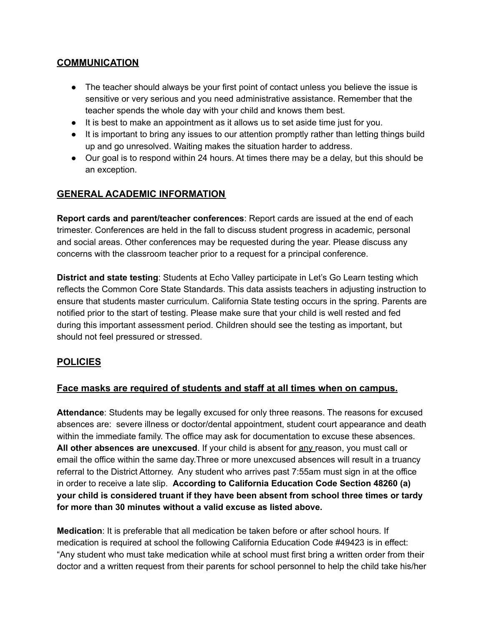## **COMMUNICATION**

- The teacher should always be your first point of contact unless you believe the issue is sensitive or very serious and you need administrative assistance. Remember that the teacher spends the whole day with your child and knows them best.
- It is best to make an appointment as it allows us to set aside time just for you.
- It is important to bring any issues to our attention promptly rather than letting things build up and go unresolved. Waiting makes the situation harder to address.
- Our goal is to respond within 24 hours. At times there may be a delay, but this should be an exception.

## **GENERAL ACADEMIC INFORMATION**

**Report cards and parent/teacher conferences**: Report cards are issued at the end of each trimester. Conferences are held in the fall to discuss student progress in academic, personal and social areas. Other conferences may be requested during the year. Please discuss any concerns with the classroom teacher prior to a request for a principal conference.

**District and state testing**: Students at Echo Valley participate in Let's Go Learn testing which reflects the Common Core State Standards. This data assists teachers in adjusting instruction to ensure that students master curriculum. California State testing occurs in the spring. Parents are notified prior to the start of testing. Please make sure that your child is well rested and fed during this important assessment period. Children should see the testing as important, but should not feel pressured or stressed.

## **POLICIES**

## **Face masks are required of students and staff at all times when on campus.**

**Attendance**: Students may be legally excused for only three reasons. The reasons for excused absences are: severe illness or doctor/dental appointment, student court appearance and death within the immediate family. The office may ask for documentation to excuse these absences. **All other absences are unexcused**. If your child is absent for any reason, you must call or email the office within the same day.Three or more unexcused absences will result in a truancy referral to the District Attorney. Any student who arrives past 7:55am must sign in at the office in order to receive a late slip. **According to California Education Code Section 48260 (a) your child is considered truant if they have been absent from school three times or tardy for more than 30 minutes without a valid excuse as listed above.**

**Medication**: It is preferable that all medication be taken before or after school hours. If medication is required at school the following California Education Code #49423 is in effect: "Any student who must take medication while at school must first bring a written order from their doctor and a written request from their parents for school personnel to help the child take his/her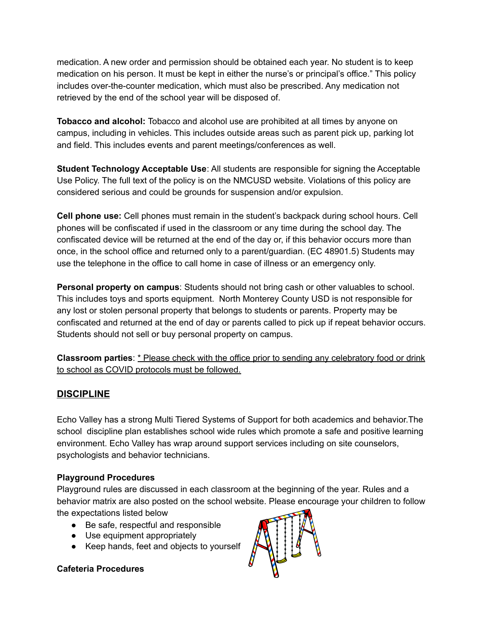medication. A new order and permission should be obtained each year. No student is to keep medication on his person. It must be kept in either the nurse's or principal's office." This policy includes over-the-counter medication, which must also be prescribed. Any medication not retrieved by the end of the school year will be disposed of.

**Tobacco and alcohol:** Tobacco and alcohol use are prohibited at all times by anyone on campus, including in vehicles. This includes outside areas such as parent pick up, parking lot and field. This includes events and parent meetings/conferences as well.

**Student Technology Acceptable Use**: All students are responsible for signing the Acceptable Use Policy. The full text of the policy is on the NMCUSD website. Violations of this policy are considered serious and could be grounds for suspension and/or expulsion.

**Cell phone use:** Cell phones must remain in the student's backpack during school hours. Cell phones will be confiscated if used in the classroom or any time during the school day. The confiscated device will be returned at the end of the day or, if this behavior occurs more than once, in the school office and returned only to a parent/guardian. (EC 48901.5) Students may use the telephone in the office to call home in case of illness or an emergency only.

**Personal property on campus**: Students should not bring cash or other valuables to school. This includes toys and sports equipment. North Monterey County USD is not responsible for any lost or stolen personal property that belongs to students or parents. Property may be confiscated and returned at the end of day or parents called to pick up if repeat behavior occurs. Students should not sell or buy personal property on campus.

**Classroom parties**: \* Please check with the office prior to sending any celebratory food or drink to school as COVID protocols must be followed.

## **DISCIPLINE**

Echo Valley has a strong Multi Tiered Systems of Support for both academics and behavior.The school discipline plan establishes school wide rules which promote a safe and positive learning environment. Echo Valley has wrap around support services including on site counselors, psychologists and behavior technicians.

## **Playground Procedures**

Playground rules are discussed in each classroom at the beginning of the year. Rules and a behavior matrix are also posted on the school website. Please encourage your children to follow the expectations listed below

- Be safe, respectful and responsible
- Use equipment appropriately
- Keep hands, feet and objects to yourself

## **Cafeteria Procedures**

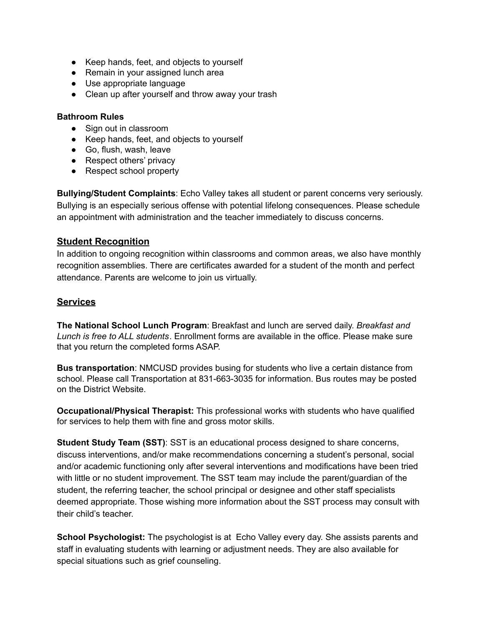- Keep hands, feet, and objects to yourself
- Remain in your assigned lunch area
- Use appropriate language
- Clean up after yourself and throw away your trash

#### **Bathroom Rules**

- Sign out in classroom
- Keep hands, feet, and objects to yourself
- Go, flush, wash, leave
- Respect others' privacy
- Respect school property

**Bullying/Student Complaints**: Echo Valley takes all student or parent concerns very seriously. Bullying is an especially serious offense with potential lifelong consequences. Please schedule an appointment with administration and the teacher immediately to discuss concerns.

#### **Student Recognition**

In addition to ongoing recognition within classrooms and common areas, we also have monthly recognition assemblies. There are certificates awarded for a student of the month and perfect attendance. Parents are welcome to join us virtually.

#### **Services**

**The National School Lunch Program**: Breakfast and lunch are served daily. *Breakfast and Lunch is free to ALL students*. Enrollment forms are available in the office. Please make sure that you return the completed forms ASAP.

**Bus transportation**: NMCUSD provides busing for students who live a certain distance from school. Please call Transportation at 831-663-3035 for information. Bus routes may be posted on the District Website.

**Occupational/Physical Therapist:** This professional works with students who have qualified for services to help them with fine and gross motor skills.

**Student Study Team (SST)**: SST is an educational process designed to share concerns, discuss interventions, and/or make recommendations concerning a student's personal, social and/or academic functioning only after several interventions and modifications have been tried with little or no student improvement. The SST team may include the parent/guardian of the student, the referring teacher, the school principal or designee and other staff specialists deemed appropriate. Those wishing more information about the SST process may consult with their child's teacher.

**School Psychologist:** The psychologist is at Echo Valley every day. She assists parents and staff in evaluating students with learning or adjustment needs. They are also available for special situations such as grief counseling.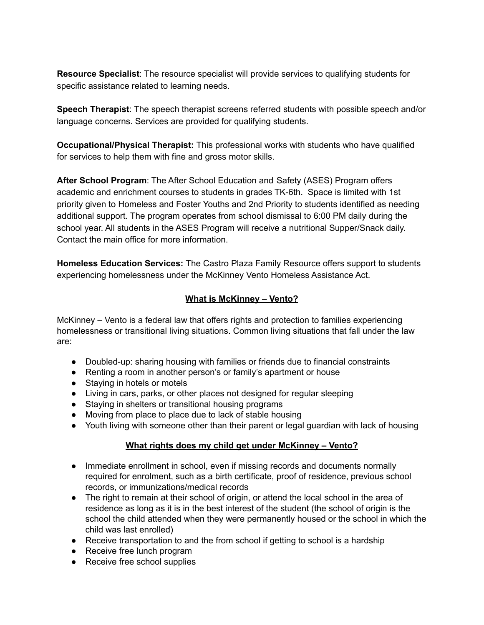**Resource Specialist**: The resource specialist will provide services to qualifying students for specific assistance related to learning needs.

**Speech Therapist**: The speech therapist screens referred students with possible speech and/or language concerns. Services are provided for qualifying students.

**Occupational/Physical Therapist:** This professional works with students who have qualified for services to help them with fine and gross motor skills.

**After School Program**: The After School Education and Safety (ASES) Program offers academic and enrichment courses to students in grades TK-6th. Space is limited with 1st priority given to Homeless and Foster Youths and 2nd Priority to students identified as needing additional support. The program operates from school dismissal to 6:00 PM daily during the school year. All students in the ASES Program will receive a nutritional Supper/Snack daily. Contact the main office for more information.

**Homeless Education Services:** The Castro Plaza Family Resource offers support to students experiencing homelessness under the McKinney Vento Homeless Assistance Act.

## **What is McKinney – Vento?**

McKinney – Vento is a federal law that offers rights and protection to families experiencing homelessness or transitional living situations. Common living situations that fall under the law are:

- Doubled-up: sharing housing with families or friends due to financial constraints
- Renting a room in another person's or family's apartment or house
- Staving in hotels or motels
- Living in cars, parks, or other places not designed for regular sleeping
- Staying in shelters or transitional housing programs
- Moving from place to place due to lack of stable housing
- Youth living with someone other than their parent or legal guardian with lack of housing

## **What rights does my child get under McKinney – Vento?**

- Immediate enrollment in school, even if missing records and documents normally required for enrolment, such as a birth certificate, proof of residence, previous school records, or immunizations/medical records
- The right to remain at their school of origin, or attend the local school in the area of residence as long as it is in the best interest of the student (the school of origin is the school the child attended when they were permanently housed or the school in which the child was last enrolled)
- Receive transportation to and the from school if getting to school is a hardship
- Receive free lunch program
- Receive free school supplies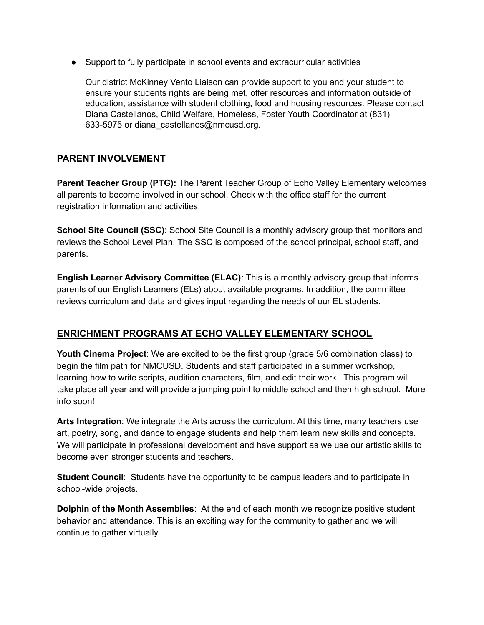● Support to fully participate in school events and extracurricular activities

Our district McKinney Vento Liaison can provide support to you and your student to ensure your students rights are being met, offer resources and information outside of education, assistance with student clothing, food and housing resources. Please contact Diana Castellanos, Child Welfare, Homeless, Foster Youth Coordinator at (831) 633-5975 or diana\_castellanos@nmcusd.org.

## **PARENT INVOLVEMENT**

**Parent Teacher Group (PTG):** The Parent Teacher Group of Echo Valley Elementary welcomes all parents to become involved in our school. Check with the office staff for the current registration information and activities.

**School Site Council (SSC)**: School Site Council is a monthly advisory group that monitors and reviews the School Level Plan. The SSC is composed of the school principal, school staff, and parents.

**English Learner Advisory Committee (ELAC)**: This is a monthly advisory group that informs parents of our English Learners (ELs) about available programs. In addition, the committee reviews curriculum and data and gives input regarding the needs of our EL students.

## **ENRICHMENT PROGRAMS AT ECHO VALLEY ELEMENTARY SCHOOL**

**Youth Cinema Project**: We are excited to be the first group (grade 5/6 combination class) to begin the film path for NMCUSD. Students and staff participated in a summer workshop, learning how to write scripts, audition characters, film, and edit their work. This program will take place all year and will provide a jumping point to middle school and then high school. More info soon!

**Arts Integration**: We integrate the Arts across the curriculum. At this time, many teachers use art, poetry, song, and dance to engage students and help them learn new skills and concepts. We will participate in professional development and have support as we use our artistic skills to become even stronger students and teachers.

**Student Council:** Students have the opportunity to be campus leaders and to participate in school-wide projects.

**Dolphin of the Month Assemblies**: At the end of each month we recognize positive student behavior and attendance. This is an exciting way for the community to gather and we will continue to gather virtually.